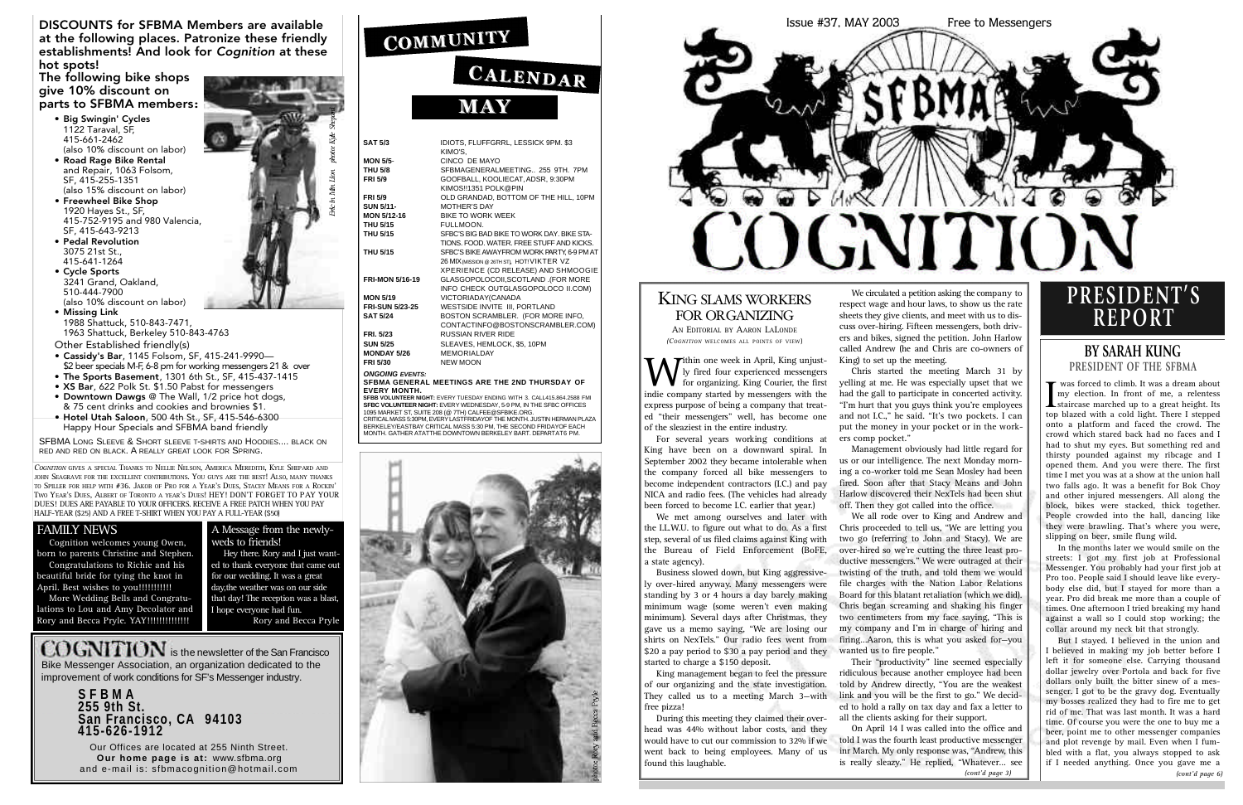*COGNITION* GIVES A SPECIAL THANKS TO NELLIE NELSON, AMERICA MEREDITH, KYLE SHEPARD AND JOHN SEAGRAVE FOR THE EXCELLENT CONTRIBUTIONS. YOU GUYS ARE THE BEST! ALSO, MANY THANKS TO SPILLER FOR HELP WITH #36. JAKOB OF PRO FOR A YEAR'S DUES, STACEY MEANS FOR A ROCKIN' TWO YEAR'S DUES. ALBERT OF TORONTO A YEAR'S DUES! HEY! DON'T FORGET TO PAY YOUR DUES! DUES ARE PAYABLE TO YOUR OFFICERS. RECEIVE A FREE PATCH WHEN YOU PAY HALF-YEAR (\$25) AND A FREE T-SHIRT WHEN YOU PAY A FULL-YEAR (\$50)

#### **FAMILY NEWS**

**SFBB VOLUNTEER NIGHT:** EVERY TUESDAY ENDING WITH 3. CALL415.864.2588 FMI **SFBC VOLUNTEER NIGHT:** EVERY WEDNESDAY, 5-9 PM, IN THE SFBC OFFICES 1095 MARKET ST, SUITE 208 (@ 7TH) CALFEE@SFBIKE.ORG. CRITICAL MASS 5:30PM, EVERY LASTFRIDAYOF THE MONTH, JUSTIN HERMAN PLAZA

B E R K E L E Y / E A S TB AY C R I T I C A L MASS 5:30 PM, THE SECOND FRIDAYOF EACH MONTH. GATHER ATATTHE DOWNTOWN BERKELEY BART. DEPARTAT6 PM



| <b>SAT 5/3</b>         | IDIOTS, FLUFFGRRL, LESSICK 9PM. \$3<br>KIMO'S. |
|------------------------|------------------------------------------------|
| <b>MON 5/5-</b>        | CINCO DE MAYO                                  |
| <b>THU 5/8</b>         | SFBMAGENERALMEETING 255 9TH, 7PM               |
| <b>FRI 5/9</b>         | GOOFBALL, KOOLIECAT, ADSR, 9:30PM              |
|                        | KIMOS!!1351 POLK@PIN                           |
| <b>FRI 5/9</b>         | OLD GRANDAD, BOTTOM OF THE HILL, 10PM          |
| <b>SUN 5/11-</b>       | <b>MOTHER'S DAY</b>                            |
| <b>MON 5/12-16</b>     | <b>BIKE TO WORK WEEK</b>                       |
| <b>THU 5/15</b>        | FULLMOON.                                      |
| <b>THU 5/15</b>        | SFBC'S BIG BAD BIKE TO WORK DAY. BIKE STA-     |
|                        | TIONS, FOOD, WATER, FREE STUFF AND KICKS.      |
| <b>THU 5/15</b>        | SFBC'S BIKE AWAYFROM WORK PARTY, 6-9 PM AT     |
|                        | 26 MIX (MISSION @ 26TH ST), HOT! VIKTER VZ     |
|                        | XPERIENCE (CD RELEASE) AND SHMOOGIE            |
| <b>FRI-MON 5/16-19</b> | GLASGOPOLOCOII, SCOTLAND .(FOR MORE            |
|                        | INFO CHECK OUTGLASGOPOLOCO II.COM)             |
| <b>MON 5/19</b>        | VICTORIADAY(CANADA                             |
| <b>FRI-SUN 5/23-25</b> | WESTSIDE INVITE III, PORTLAND                  |
| <b>SAT 5/24</b>        |                                                |
|                        | BOSTON SCRAMBLER. (FOR MORE INFO,              |
|                        | CONTACTINFO@BOSTONSCRAMBLER.COM)               |
| <b>FRI. 5/23</b>       | <b>RUSSIAN RIVER RIDE</b>                      |
| <b>SUN 5/25</b>        | SLEAVES, HEMLOCK, \$5, 10PM                    |
| <b>MONDAY 5/26</b>     | <b>MEMORIALDAY</b>                             |
| <b>FRI 5/30</b>        | <b>NEW MOON</b>                                |
| <b>ONGOING EVENTS:</b> | SERMA GENERAL MEETINGS ARE THE 2ND THURSDAY OF |

 $ONG$ **S F B M A G E N E R A L MEETINGS ARE THE 2ND THURSDAY O F EVERY MONTH.** 

COGNITION is the newsletter of the San Francisco Bike Messenger Association, an organization dedicated to the improvement of work conditions for SF's Messenger industry.

**I** was forced to climb. It was a dream about<br>my election. In front of me, a relentess<br>staircase marched up to a great height. Its<br>top blazed with a cold light. There I stepped was forced to climb. It was a dream about my election. In front of me, a relentess top blazed with a cold light. There I stepped onto a platform and faced the crowd. The crowd which stared back had no faces and I had to shut my eyes. But something red and thirsty pounded against my ribcage and I opened them. And you were there. The first time I met you was at a show at the union hall two falls ago. It was a benefit for Bok Choy and other injured messengers. All along the block, bikes were stacked, thick together. People crowded into the hall, dancing like they were brawling. That's where you were, slipping on beer, smile flung wild.

**S F B M A 255 9th St.** San Francisco, CA 94103 **4 1 5 - 6 2 6 - 1 9 1 2**

Our Offices are located at 255 Ninth Street. **Our home page is at: www.sfbma.org** and e-mail is: sfbmacognition@hotmail.com

## COMMUNITY

## CALENDAR **MAY**

DISCOUNTS for SFBMA Members are available at the following places. Patronize these friendly establishments! And look for *Cognition* at these hot spots!

#### The following bike shops give 10% discount on parts to SFBMA members:

**W** ihin one week in April, King unjust-<br>Iy fired four experienced messengers<br>indie company started by messengers with the  $\blacktriangleright$ ithin one week in April, King unjustly fired four experienced messengers for organizing. King Courier, the first express purpose of being a company that treated "their messengers" well, has become one of the sleaziest in the entire industry.

- Big Swingin' Cycles 1122 Taraval, SF, 415-661-2462 (also 10% discount on labor)
- Road Rage Bike Rental and Repair, 1063 Folsom, SF, 415-255-1351 (also 15% discount on labor)
- Freewheel Bike Shop 1920 Hayes St., SF, 415-752-9195 and 980 Valencia, SF, 415-643-9213
- Pedal Revolution 3075 21st St., 415-641-1264
- Cycle Sports 3241 Grand, Oakland, 510-444-7900 (also 10% discount on labor)
- Missing Link 1988 Shattuck, 510-843-7471, 1963 Shattuck, Berkeley 510-843-4763

Other Established friendly(s)

- Cassidy's Bar, 1145 Folsom, SF, 415-241-9990— \$2 beer specials M-F, 6-8 pm for working messengers 21 & over
- The Sports Basement, 1301 6th St., SF, 415-437-1415
- XS Bar, 622 Polk St. \$1.50 Pabst for messengers
- Downtown Dawgs @ The Wall, 1/2 price hot dogs,
- & 75 cent drinks and cookies and brownies \$1.
- Hotel Utah Saloon, 500 4th St., SF, 415-546-6300 Happy Hour Specials and SFBMA band friendly

SFBMA LONG SLEEVE & SHORT SLEEVE T-SHIRTS AND HOODIES.... BLACK ON RED AND RED ON BLACK. A REALLY GREAT LOOK FOR SPRING.

We circulated a petition asking the company to respect wage and hour laws, to show us the rate sheets they give clients, and meet with us to discuss over-hiring. Fifteen messengers, both drivers and bikes, signed the petition. John Harlow called Andrew (he and Chris are co-owners of



#### KING SLAMS WORKERS FOR ORGANIZING

#### **BY SARAH KUNG PRESIDENT OF THE SFBMA**

all the clients asking for their support. On April 14 I was called into the office and told I was the fourth least productive messenger inr March. My only response was, "Andrew, this is really sleazy." He replied, "Whatever... see<br>(cont'd page 3)

AN EDITORIAL BY AARON LALONDE *(COGNITION WELCOMES ALL POINTS OF VIEW)* 

> In the months later we would smile on the streets: I got my first job at Professional Messenger. You probably had your first job at Pro too. People said I should leave like everybody else did, but I stayed for more than a year. Pro did break me more than a couple of times. One afternoon I tried breaking my hand against a wall so I could stop working; the collar around my neck bit that strongly.

Cognition welcomes young Owen, born to parents Christine and Stephen. Congratulations to Richie and his beautiful bride for tying the knot in April. Best wishes to you!!!!!!!!!!!!

More Wedding Bells and Congratulations to Lou and Amy Decolator and Rory and Becca Pryle. YAY!!!!!!!!!!!!!!!!

> But I stayed. I believed in the union and I believed in making my job better before I left it for someone else. Carrying thousand dollar jewelry over Portola and back for five dollars only built the bitter sinew of a messenger. I got to be the gravy dog. Eventually my bosses realized they had to fire me to get rid of me. That was last month. It was a hard time. Of course you were the one to buy me a beer, point me to other messenger companies and plot revenge by mail. Even when I fumbled with a flat, you always stopped to ask if I needed anything. Once you gave me a

## **P R E S I D E N T ' S R E P O R T**

For several years working conditions at King have been on a downward spiral. In September 2002 they became intolerable when the company forced all bike messengers to become independent contractors (I.C.) and pay NICA and radio fees. (The vehicles had already been forced to become I.C. earlier that year.)

We met among ourselves and later with the I.L.W.U. to figure out what to do. As a first step, several of us filed claims against King with the Bureau of Field Enforcement (BoFE, a state agency).

Business slowed down, but King aggressively over-hired anyway. Many messengers were standing by 3 or 4 hours a day barely making minimum wage (some weren't even making minimum). Several days after Christmas, they gave us a memo saying, "We are losing our shirts on NexTels." Our radio fees went from \$20 a pay period to \$30 a pay period and they started to charge a \$150 deposit.

King management began to feel the pressure of our organizing and the state investigation. They called us to a meeting March 3—with free pizza!

During this meeting they claimed their overhead was 44% without labor costs, and they would have to cut our commission to 32% if we went back to being employees. Many of us found this laughable.

King) to set up the meeting.

Chris started the meeting March 31 by yelling at me. He was especially upset that we had the gall to participate in concerted activity. "I'm hurt that you guys think you're employees and not I.C.," he said. "It's two pockets. I can put the money in your pocket or in the workers comp pocket."

Management obviously had little regard for us or our intelligence. The next Monday morning a co-worker told me Sean Mosley had been fired. Soon after that Stacy Means and John Harlow discovered their NexTels had been shut off. Then they got called into the office.

We all rode over to King and Andrew and Chris proceeded to tell us, "We are letting you two go (referring to John and Stacy). We are over-hired so we're cutting the three least productive messengers." We were outraged at their twisting of the truth, and told them we would file charges with the Nation Labor Relations Board for this blatant retaliation (which we did). Chris began screaming and shaking his finger two centimeters from my face saying, "This is my company and I'm in charge of hiring and firing…Aaron, this is what you asked for—you wanted us to fire people."

Their "productivity" line seemed especially ridiculous because another employee had been told by Andrew directly, "You are the weakest link and you will be the first to go." We decided to hold a rally on tax day and fax a letter to

#### A Message from the newlyweds to friends!

Hey there. Rory and I just wanted to thank everyone that came out for our wedding. It was a great day, the weather was on our side that day! The reception was a blast, I hope everyone had fun. Rory and Becca Pryle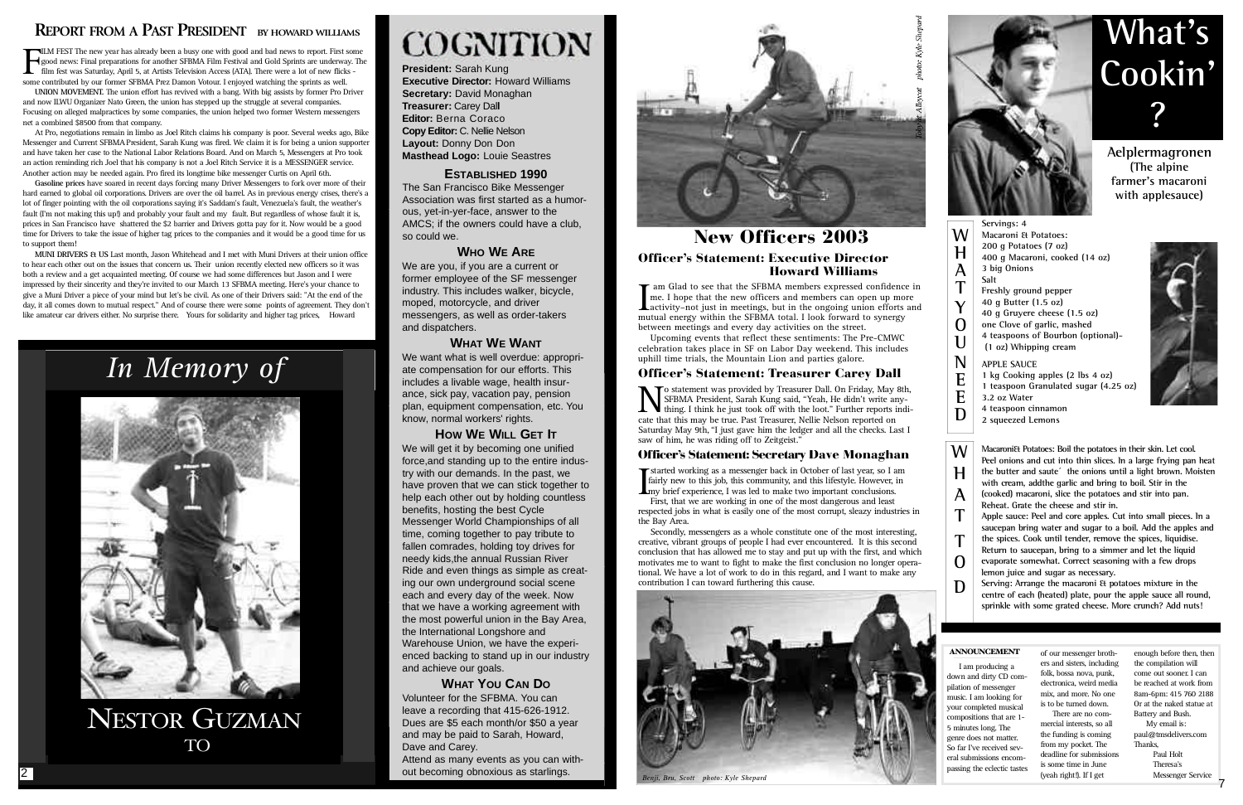### **REPORT FROM A PAST PRESIDENT** BY HOWARD WILLIAMS

 $\mathbf{F}$ ILM FEST The new year has already been a busy one with good and bad news to report. First some good news: Final preparations for another SFBMA Film Festival and Gold Sprints are underway. The film fest was Saturday, April 5, at Artists Television Access (ATA). There were a lot of new flicks some contributed by our former SFBMA Prez Damon Votour. I enjoyed watching the sprints as well.

**President:** Sarah Kung **Executive Director: Howard Williams Secretary:** David Monaghan **Treasurer:** Carey Dal**l Editor: Berna Coraco Copy Editor:** C. Nellie Nelson **Layout:** Donny Don Don **Masthead Logo:** Louie Seastres

#### **ESTABLISHED 1990**

The San Francisco Bike Messenger Association was first started as a humorous, yet-in-yer-face, answer to the AMCS; if the owners could have a club, so could we.

#### **WHO WE ARE**

We are you, if you are a current or former employee of the SF messenger industry. This includes walker, bicycle, moped, motorcycle, and driver messengers, as well as order-takers and dispatchers.

#### **WHAT WE WANT**

We want what is well overdue: appropriate compensation for our efforts. This includes a livable wage, health insurance, sick pay, vacation pay, pension plan, equipment compensation, etc. You know, normal workers' rights.

#### **HOW WE WILL GET IT**

We will get it by becoming one unified force,and standing up to the entire industry with our demands. In the past, we have proven that we can stick together to help each other out by holding countless benefits, hosting the best Cycle Messenger World Championships of all time, coming together to pay tribute to fallen comrades, holding toy drives for needy kids,the annual Russian River Ride and even things as simple as creating our own underground social scene each and every day of the week. Now that we have a working agreement with the most powerful union in the Bay Area, the International Longshore and Warehouse Union, we have the experienced backing to stand up in our industry and achieve our goals.

Macaroni<sup>Et</sup> Potatoes: Boil the potatoes in their skin. Let cool. Peel onions and cut into thin slices. In a large frying pan heat the butter and saute<sup>'</sup> the onions until a light brown. Moisten **with cream, addthe garlic and bring to boil. Stir in the (cooked) macaroni, slice the potatoes and stir into pan. Reheat. Grate the cheese and stir in.**

**Apple sauce: Peel and core apples. Cut into small pieces. In a saucepan bring water and sugar to a boil. Add the apples and** the spices. Cook until tender, remove the spices, liquidise. **Return to saucepan, bring to a simmer and let the liquid** evaporate somewhat. Correct seasoning with a few drops lemon juice and sugar as necessary.

#### **WHAT YOU CAN DO**

Volunteer for the SFBMA. You can leave a recording that 415-626-1912. Dues are \$5 each month/or \$50 a year and may be paid to Sarah, Howard, Dave and Carey.

Attend as many events as you can without becoming obnoxious as starlings.



**Aelplermagronen (The alpine farmer's macaroni with applesauce)**

**UNION MOVEMENT.** The union effort has revived with a bang. With big assists by former Pro Driver and now ILWU Organizer Nato Green, the union has stepped up the struggle at several companies. Focusing on alleged malpractices by some companies, the union helped two former Western messengers net a combined \$8500 from that company.

> **4 teaspoon cinnamon 2 squeezed Lemons**



|                         | Servings: 4                           |
|-------------------------|---------------------------------------|
|                         | Macaroni & Potatoes:                  |
| Ή                       | 200 g Potatoes (7 oz)                 |
|                         | 400 g Macaroni, cooked (14 oz)        |
| A<br>T                  | 3 big Onions                          |
|                         | Salt                                  |
|                         | Freshly ground pepper                 |
| Y                       | 40 g Butter (1.5 oz)                  |
|                         | 40 g Gruyere cheese (1.5 oz)          |
| $\overline{0}$          | one Clove of garlic, mashed           |
| $\overline{\mathsf{U}}$ | 4 teaspoons of Bourbon (optional)-    |
|                         | (1 oz) Whipping cream                 |
| N                       | <b>APPLE SAUCE</b>                    |
| E                       | 1 kg Cooking apples (2 lbs 4 oz)      |
|                         | 1 teaspoon Granulated sugar (4.25 oz) |
|                         | 3.2 oz Water                          |

**MUNI DRIVERS & US** Last month, Jason Whitehead and I met with Muni Drivers at their union office to hear each other out on the issues that concern us. Their union recently elected new officers so it was both a review and a get acquainted meeting. Of course we had some differences but Jason and I were impressed by their sincerity and they're invited to our March 13 SFBMA meeting. Here's your chance to give a Muni Driver a piece of your mind but let's be civil. As one of their Drivers said: "At the end of the day, it all comes down to mutual respect." And of course there were some points of agreement. They don't like amateur car drivers either. No surprise there. Yours for solidarity and higher tag prices, Howard

> **Serving: Arrange the macaroni & potatoes mixture in the** centre of each (heated) plate, pour the apple sauce all round, **sprinkle with some grated cheese. More crunch? Add nuts!**

#### ANNOUNCEMENT

# **What's Cookin' ?**

**D**

**W**

**H**

**A T**

**T O**

**D**





## *In Memory of*



NESTOR GUZMAN 12-20-79 TO 4-30-03

## **COGNITION**



*Benji, Bru, Scott photo: Kyle Shepard*

Secondly, messengers as a whole constitute one of the most interesting, creative, vibrant groups of people I had ever encountered. It is this second conclusion that has allowed me to stay and put up with the first, and which motivates me to want to fight to make the first conclusion no longer operational. We have a lot of work to do in this regard, and I want to make any contribution I can toward furthering this cause.

If am Glad to see that the SFBMA members expressed confidence in<br>
me. I hope that the new officers and members can open up more<br>
activity–not just in meetings, but in the ongoing union efforts and<br>
mutual energy within the **T** am Glad to see that the SFBMA members expressed confidence in me. I hope that the new officers and members can open up more mutual energy within the SFBMA total. I look forward to synergy between meetings and every day activities on the street.

**NO** statement was provided by Treasurer Dall. On Friday, May 8th, SFBMA President, Sarah Kung said, "Yeah, He didn't write any-<br>thing. I think he just took off with the loot." Further reports indi-<br>cate that this may be t To statement was provided by Treasurer Dall. On Friday, May 8th, SFBMA President, Sarah Kung said, "Yeah, He didn't write anycate that this may be true. Past Treasurer, Nellie Nelson reported on Saturday May 9th, "I just gave him the ledger and all the checks. Last I saw of him, he was riding off to Zeitgeist."

#### Officer's Statement: Secretary Dave Monaghan

**Started working as a messenger back in October of last year, so I am** fairly new to this job, this community, and this lifestyle. However, in my brief experience, I was led to make two important conclusions. First that we fairly new to this job, this community, and this lifestyle. However, in **L**my brief experience, I was led to make two important conclusions.

At Pro, negotiations remain in limbo as Joel Ritch claims his company is poor. Several weeks ago, Bike Messenger and Current SFBMAPresident, Sarah Kung was fired. We claim it is for being a union supporter and have taken her case to the National Labor Relations Board. And on March 5, Messengers at Pro took an action reminding rich Joel that his company is not a Joel Ritch Service it is a MESSENGER service. Another action may be needed again. Pro fired its longtime bike messenger Curtis on April 6th.

**Gasoline prices** have soared in recent days forcing many Driver Messengers to fork over more of their hard earned to global oil corporations. Drivers are over the oil barrel. As in previous energy crises, there's a lot of finger pointing with the oil corporations saying it's Saddam's fault, Venezuela's fault, the weather's fault (I'm not making this up!) and probably your fault and my fault. But regardless of whose fault it is, prices in San Francisco have shattered the \$2 barrier and Drivers gotta pay for it. Now would be a good time for Drivers to take the issue of higher tag prices to the companies and it would be a good time for us to support them!

> I am producing a down and dirty CD compilation of messenger music. I am looking for your completed musical compositions that are 1- 5 minutes long. The genre does not matter. So far I've received several submissions encompassing the eclectic tastes

of our messenger brothers and sisters, including folk, bossa nova, punk, electronica, weird media mix, and more. No one is to be turned down.

There are no commercial interests, so all the funding is coming from my pocket. The deadline for submissions is some time in June (yeah right!). If I get

enough before then, then the compilation will come out sooner. I can be reached at work from 8am-6pm: 415 760 2188 Or at the naked statue at Battery and Bush.

My email is: p aul@tmsdelivers.com Thanks, Paul Holt

Theresa's Messenger Service

First, that we are working in one of the most dangerous and least respected jobs in what is easily one of the most corrupt, sleazy industries in the Bay Area.

Upcoming events that reflect these sentiments: The Pre-CMWC celebration takes place in SF on Labor Day weekend. This includes uphill time trials, the Mountain Lion and parties galore.

#### Officer's Statement: Executive Director Howard Williams New Officers 2003

#### Officer's Statement: Treasurer Carey Dall



7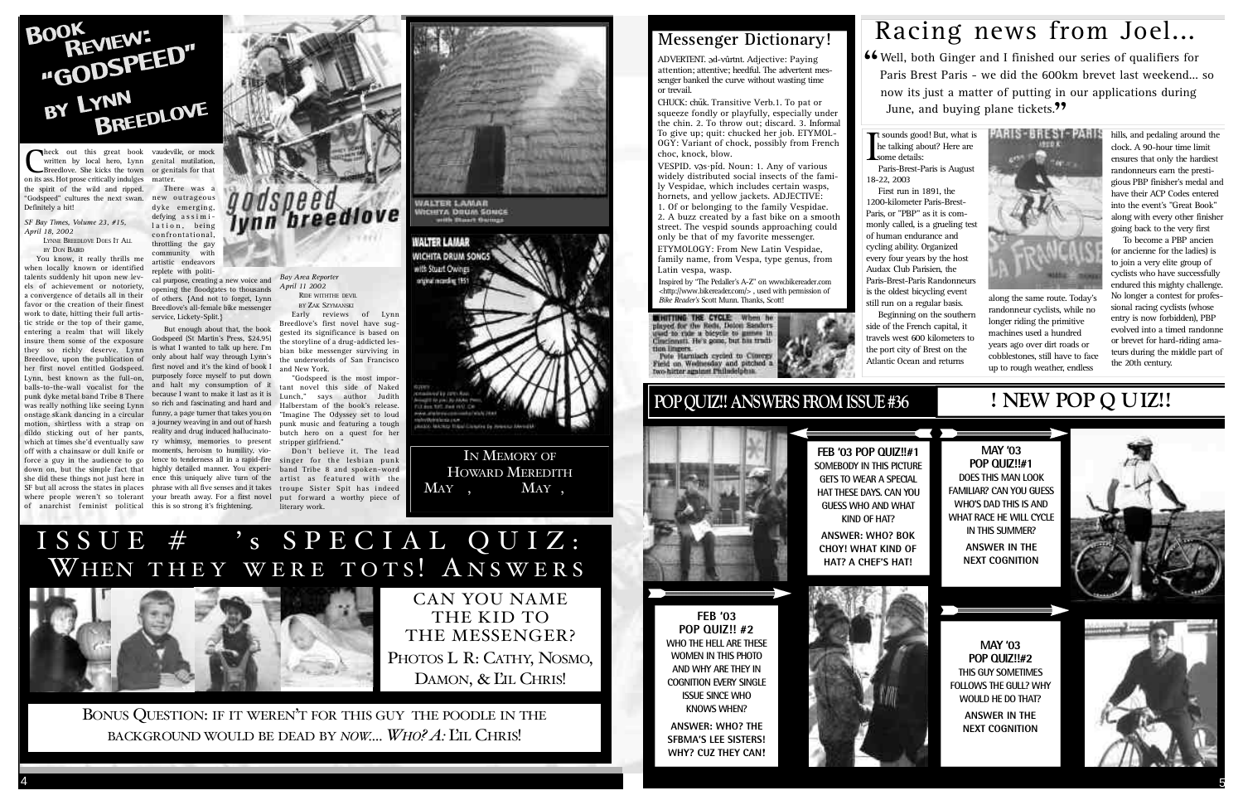

**C**heck out this great book vaudeving written by local hero, Lynn genital Breedlove. She kicks the town or genion its ass. Hot prose critically indulges matter. heck out this great book vaudeville, or mock written by local hero, Lynn genital mutilation, Breedlove. She kicks the town or genitals for that the spirit of the wild and ripped. "Godspeed" cultures the next swan. Definitely a hit!

*SF Bay Times, Volume 23, #15, April 18, 2002*  LYNNE BREEDLOVE DOES IT ALL

BY DON BAIRD

new outrageous dyke emerging, defying assimilation, being  $confrontational$ throttling the gay community with artistic endeavors

> replete with political purpose, creating a new voice and opening the floodgates to thousands of others. {And not to forget, Lynn Breedlove's all-female bike messenger service, Lickety-Split.}

There was a

You know, it really thrills me when locally known or identified talents suddenly hit upon new levels of achievement or notoriety, a convergence of details all in their favor or the creation of their finest work to date, hitting their full artistic stride or the top of their game, entering a realm that will likely insure them some of the exposure they so richly deserve. Lynn Breedlove, upon the publication of her first novel entitled Godspeed. Lynn, best known as the full-on, balls-to-the-wall vocalist for the punk dyke metal band Tribe 8 There of anarchist feminist political this is so strong it's frightening.

BY ZAK SZYMANSKI Early reviews of Lynn Breedlove's first novel have suggested its significance is based on the storyline of a drug-addicted lesbian bike messenger surviving in the underworlds of San Francisco and New York. "Godspeed is the most impor-

was really nothing like seeing Lynn so rich and fascinating and hard and onstage skank dancing in a circular funny, a page turner that takes you on motion, shirtless with a strap on a journey weaving in and out of harsh dildo sticking out of her pants, reality and drug induced hallucinatowhich at times she'd eventually saw ry whimsy, memories to present off with a chainsaw or dull knife or moments, heroism to humility, vioforce a guy in the audience to go lence to tenderness all in a rapid-fire down on, but the simple fact that highly detailed manner. You experishe did these things not just here in ence this uniquely alive turn of the SF but all across the states in places phrase with all five senses and it takes where people weren't so tolerant your breath away. For a first novel But enough about that, the book Godspeed (St Martin's Press, \$24.95) is what I wanted to talk up here. I'm only about half way through Lynn's first novel and it's the kind of book I purposely force myself to put down and halt my consumption of it because I want to make it last as it is



NICHIYA DOUM SONCE

**WALTER LAMAR MICHITA DRUM SON** 

tant novel this side of Naked Lunch," says author Judith Halberstam of the book's release. "Imagine The Odyssey set to loud punk music and featuring a tough butch hero on a quest for her stripper girlfriend."

ADVERTENT. ad-vûrtnt. Adjective: Paying attention; attentive; heedful. The advertent messenger banked the curve without wasting time or trevail.

CHUCK: chuk. Transitive Verb.1. To pat or squeeze fondly or playfully, especially under the chin. 2. To throw out; discard. 3. Informal To give up; quit: chucked her job. ETYMOL-OGY: Variant of chock, possibly from French choc, knock, blow.

VESPID. vas·pid. Noun: 1. Any of various widely distributed social insects of the family Vespidae, which includes certain wasps, hornets, and yellow jackets. ADJECTIVE:

*Bay Area Reporter April 11 2002* 

RIDE WITHTHE DEVIL

along the same route. Today's randonneur cyclists, while no longer riding the primitive machines used a hundred years ago over dirt roads or cobblestones, still have to face up to rough weather, endless

Don't believe it. The lead singer for the lesbian punk band Tribe 8 and spoken-word artist as featured with the troupe Sister Spit has indeed put forward a worthy piece of literary work.



IN MEMORY OF HOWARD MEREDITH May 25, 1938 — May 8, 2003

## **POP QUIZ!! ANSWERS FROM ISSUE #36**



**KIND OF HAT?**



ISSUE #36's SPECIAL QUIZ: WHEN THEY WERE TOTS! ANSWERS



CAN YOU NAME THE KID TO THE MESSENGER? PHOTOS L-R: CATHY, NOSMO, DAMON, & L'IL CHRIS!

BONUS QUESTION: IF IT WEREN'T FOR THIS GUY- THE POODLE IN THE BACKGROUND WOULD BE DEAD BY *NOW....* WHO? A: L'IL CHRIS!

**FEB '03 POP QUIZ!! #2 WHO THE HELL ARE THESE WOMEN IN THIS PHOTO AND WHY ARE THEY IN COGNITION EVERY SINGLE ISSUE SINCE WHO KNOWS WHEN? ANSWER: WHO? THE SFBMA'S LEE SISTERS! WHY? CUZ THEY CAN**!

1. Of or belonging to the family Vespidae. 2. A buzz created by a fast bike on a smooth street. The vespid sounds approaching could only be that of my favorite messenger. ETYMOLOGY: From New Latin Vespidae,

family name, from Vespa, type genus, from Latin vespa, wasp.

Inspired by "The Pedaller's A-Z" on www.bikereader.com <http://www.bikereader.com/>, used with permission of **Bike Reader's Scott Munn. Thanks, Scott!** 

**BUILTING THE CYCLE:** When h played for the Roth, Doton Sanders suid to rule a bicycle to games in Cineinnati. He's gone, but his tradi tion lingers Pete Harnlach cycled to Cloregy Field on Wednesday and pitched<br>two-hitter against Philadelphia.

18-22, 2003

First run in 1891, the 1200-kilometer Paris-Brest-Paris, or "PBP" as it is commonly called, is a grueling test of human endurance and cycling ability. Organized every four years by the host Audax Club Parisien, the Paris-Brest-Paris Randonneurs is the oldest bicycling event still run on a regular basis. Beginning on the southern side of the French capital, it travels west 600 kilometers to the port city of Brest on the Atlantic Ocean and returns



hills, and pedaling around the clock. A 90-hour time limit ensures that only the hardiest randonneurs earn the prestigious PBP finisher's medal and have their ACP Codes entered into the event's "Great Book" along with every other finisher going back to the very first

To become a PBP ancien (or ancienne for the ladies) is to join a very elite group of cyclists who have successfully endured this mighty challenge. No longer a contest for professional racing cyclists (whose entry is now forbidden), PBP evolved into a timed randonne or brevet for hard-riding amateurs during the middle part of the 20th century.

### **Messenger Dictionary!**

## Racing news from Joel...

**46** Well, both Ginger and I finished our series of qualifiers for Paris Brest Paris - we did the 600km brevet last weekend... Paris Brest Paris - we did the 600km brevet last weekend... so now its just a matter of putting in our applications during June, and buying plane tickets."

The sounds good! But, what is<br>
less talking about? Here are<br>
some details:<br>
Paris-Brest-Paris is August he talking about? Here are some details: Paris-Brest-Paris is August